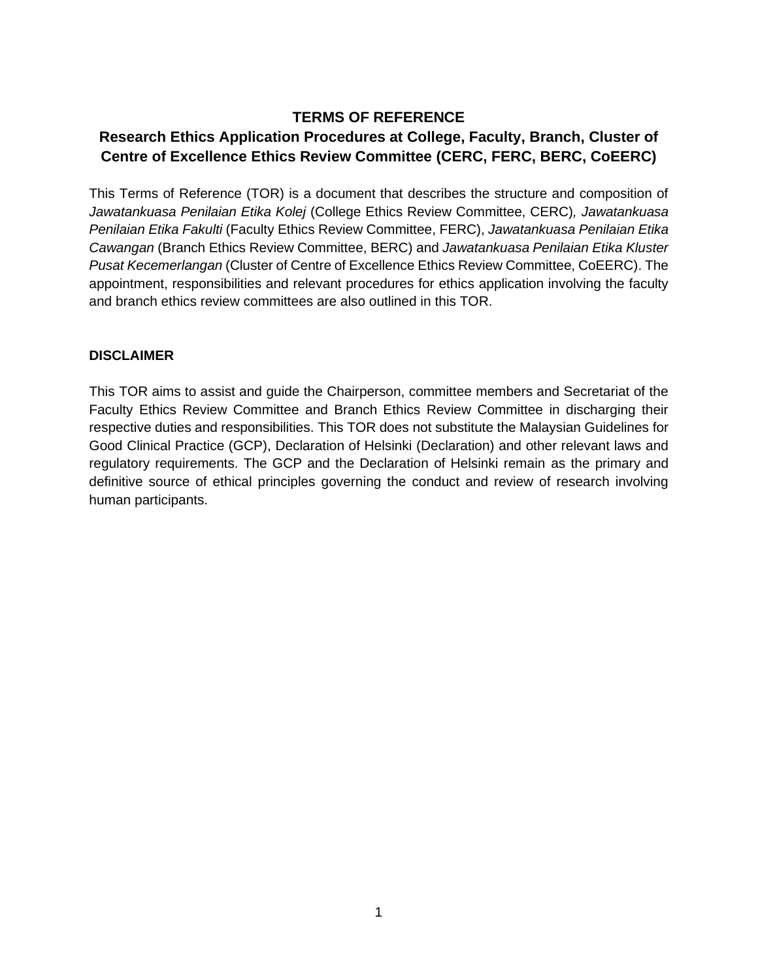## **TERMS OF REFERENCE**

# **Research Ethics Application Procedures at College, Faculty, Branch, Cluster of Centre of Excellence Ethics Review Committee (CERC, FERC, BERC, CoEERC)**

This Terms of Reference (TOR) is a document that describes the structure and composition of *Jawatankuasa Penilaian Etika Kolej* (College Ethics Review Committee, CERC)*, Jawatankuasa Penilaian Etika Fakulti* (Faculty Ethics Review Committee, FERC), *Jawatankuasa Penilaian Etika Cawangan* (Branch Ethics Review Committee, BERC) and *Jawatankuasa Penilaian Etika Kluster Pusat Kecemerlangan* (Cluster of Centre of Excellence Ethics Review Committee, CoEERC). The appointment, responsibilities and relevant procedures for ethics application involving the faculty and branch ethics review committees are also outlined in this TOR.

#### **DISCLAIMER**

This TOR aims to assist and guide the Chairperson, committee members and Secretariat of the Faculty Ethics Review Committee and Branch Ethics Review Committee in discharging their respective duties and responsibilities. This TOR does not substitute the Malaysian Guidelines for Good Clinical Practice (GCP), Declaration of Helsinki (Declaration) and other relevant laws and regulatory requirements. The GCP and the Declaration of Helsinki remain as the primary and definitive source of ethical principles governing the conduct and review of research involving human participants.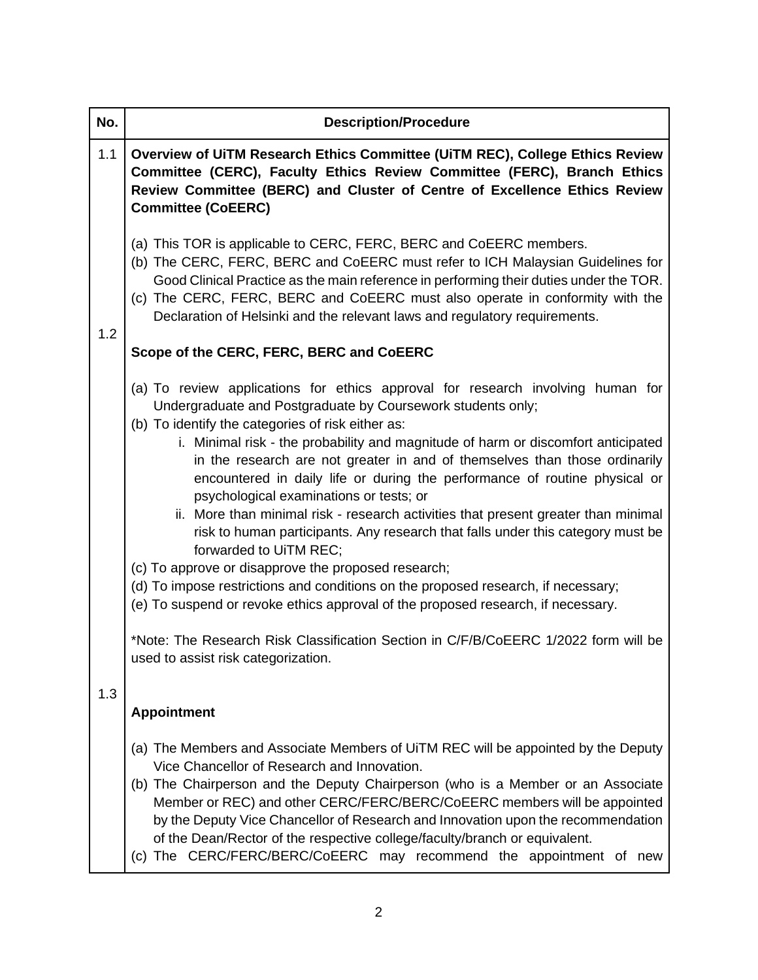| No. | <b>Description/Procedure</b>                                                                                                                                                                                                                                                                                                                                                                                                                                                                                                                                                                                                                                                                                                                                                                                                                                                                                                                                                                                                                                     |
|-----|------------------------------------------------------------------------------------------------------------------------------------------------------------------------------------------------------------------------------------------------------------------------------------------------------------------------------------------------------------------------------------------------------------------------------------------------------------------------------------------------------------------------------------------------------------------------------------------------------------------------------------------------------------------------------------------------------------------------------------------------------------------------------------------------------------------------------------------------------------------------------------------------------------------------------------------------------------------------------------------------------------------------------------------------------------------|
| 1.1 | Overview of UiTM Research Ethics Committee (UiTM REC), College Ethics Review<br>Committee (CERC), Faculty Ethics Review Committee (FERC), Branch Ethics<br>Review Committee (BERC) and Cluster of Centre of Excellence Ethics Review<br><b>Committee (CoEERC)</b>                                                                                                                                                                                                                                                                                                                                                                                                                                                                                                                                                                                                                                                                                                                                                                                                |
| 1.2 | (a) This TOR is applicable to CERC, FERC, BERC and CoEERC members.<br>(b) The CERC, FERC, BERC and CoEERC must refer to ICH Malaysian Guidelines for<br>Good Clinical Practice as the main reference in performing their duties under the TOR.<br>(c) The CERC, FERC, BERC and CoEERC must also operate in conformity with the<br>Declaration of Helsinki and the relevant laws and regulatory requirements.                                                                                                                                                                                                                                                                                                                                                                                                                                                                                                                                                                                                                                                     |
|     | Scope of the CERC, FERC, BERC and CoEERC                                                                                                                                                                                                                                                                                                                                                                                                                                                                                                                                                                                                                                                                                                                                                                                                                                                                                                                                                                                                                         |
|     | (a) To review applications for ethics approval for research involving human for<br>Undergraduate and Postgraduate by Coursework students only;<br>(b) To identify the categories of risk either as:<br>i. Minimal risk - the probability and magnitude of harm or discomfort anticipated<br>in the research are not greater in and of themselves than those ordinarily<br>encountered in daily life or during the performance of routine physical or<br>psychological examinations or tests; or<br>ii. More than minimal risk - research activities that present greater than minimal<br>risk to human participants. Any research that falls under this category must be<br>forwarded to UiTM REC;<br>(c) To approve or disapprove the proposed research;<br>(d) To impose restrictions and conditions on the proposed research, if necessary;<br>(e) To suspend or revoke ethics approval of the proposed research, if necessary.<br>*Note: The Research Risk Classification Section in C/F/B/CoEERC 1/2022 form will be<br>used to assist risk categorization. |
| 1.3 | <b>Appointment</b>                                                                                                                                                                                                                                                                                                                                                                                                                                                                                                                                                                                                                                                                                                                                                                                                                                                                                                                                                                                                                                               |
|     | (a) The Members and Associate Members of UiTM REC will be appointed by the Deputy<br>Vice Chancellor of Research and Innovation.<br>(b) The Chairperson and the Deputy Chairperson (who is a Member or an Associate<br>Member or REC) and other CERC/FERC/BERC/CoEERC members will be appointed<br>by the Deputy Vice Chancellor of Research and Innovation upon the recommendation<br>of the Dean/Rector of the respective college/faculty/branch or equivalent.<br>(c) The CERC/FERC/BERC/CoEERC may recommend the appointment of new                                                                                                                                                                                                                                                                                                                                                                                                                                                                                                                          |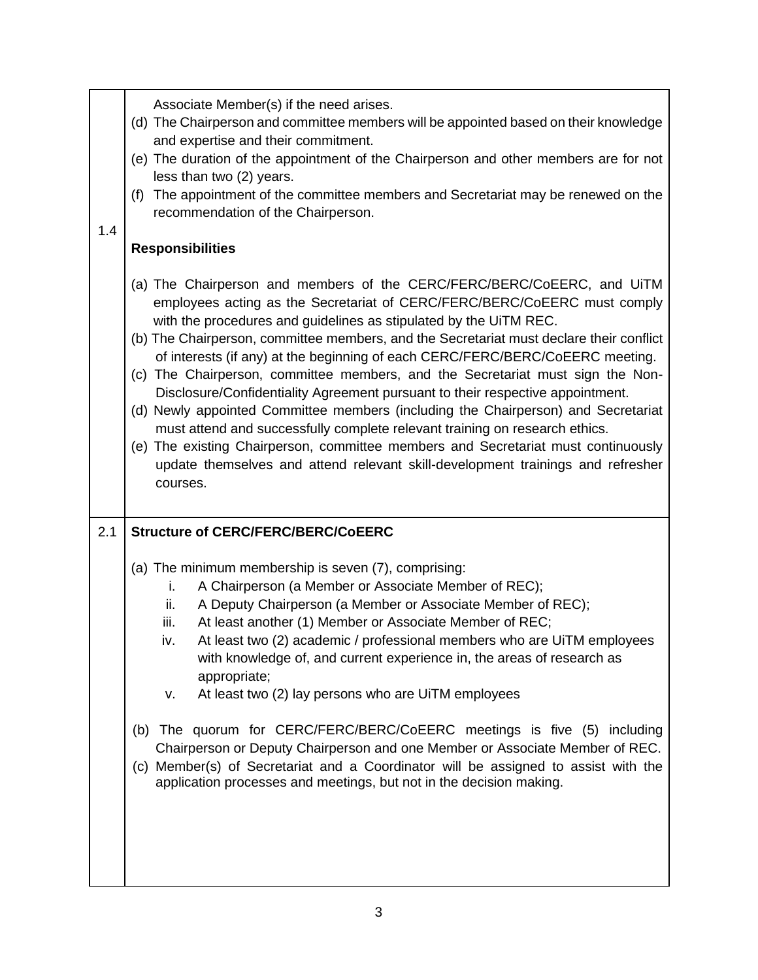| 1.4 | Associate Member(s) if the need arises.<br>(d) The Chairperson and committee members will be appointed based on their knowledge<br>and expertise and their commitment.<br>(e) The duration of the appointment of the Chairperson and other members are for not<br>less than two (2) years.<br>(f) The appointment of the committee members and Secretariat may be renewed on the<br>recommendation of the Chairperson.                                                                                                                                                                                                                                                                                                                                                                                                                                                                                                          |
|-----|---------------------------------------------------------------------------------------------------------------------------------------------------------------------------------------------------------------------------------------------------------------------------------------------------------------------------------------------------------------------------------------------------------------------------------------------------------------------------------------------------------------------------------------------------------------------------------------------------------------------------------------------------------------------------------------------------------------------------------------------------------------------------------------------------------------------------------------------------------------------------------------------------------------------------------|
|     | <b>Responsibilities</b>                                                                                                                                                                                                                                                                                                                                                                                                                                                                                                                                                                                                                                                                                                                                                                                                                                                                                                         |
|     | (a) The Chairperson and members of the CERC/FERC/BERC/CoEERC, and UITM<br>employees acting as the Secretariat of CERC/FERC/BERC/CoEERC must comply<br>with the procedures and guidelines as stipulated by the UiTM REC.<br>(b) The Chairperson, committee members, and the Secretariat must declare their conflict<br>of interests (if any) at the beginning of each CERC/FERC/BERC/CoEERC meeting.<br>(c) The Chairperson, committee members, and the Secretariat must sign the Non-<br>Disclosure/Confidentiality Agreement pursuant to their respective appointment.<br>(d) Newly appointed Committee members (including the Chairperson) and Secretariat<br>must attend and successfully complete relevant training on research ethics.<br>(e) The existing Chairperson, committee members and Secretariat must continuously<br>update themselves and attend relevant skill-development trainings and refresher<br>courses. |
| 2.1 | <b>Structure of CERC/FERC/BERC/CoEERC</b>                                                                                                                                                                                                                                                                                                                                                                                                                                                                                                                                                                                                                                                                                                                                                                                                                                                                                       |
|     | (a) The minimum membership is seven (7), comprising:<br>A Chairperson (a Member or Associate Member of REC);<br>i.<br>A Deputy Chairperson (a Member or Associate Member of REC);<br>ii.<br>At least another (1) Member or Associate Member of REC;<br>iii.<br>At least two (2) academic / professional members who are UiTM employees<br>IV.<br>with knowledge of, and current experience in, the areas of research as<br>appropriate;<br>At least two (2) lay persons who are UiTM employees<br>v.<br>The quorum for CERC/FERC/BERC/CoEERC meetings is five (5) including<br>(b)<br>Chairperson or Deputy Chairperson and one Member or Associate Member of REC.<br>(c) Member(s) of Secretariat and a Coordinator will be assigned to assist with the<br>application processes and meetings, but not in the decision making.                                                                                                 |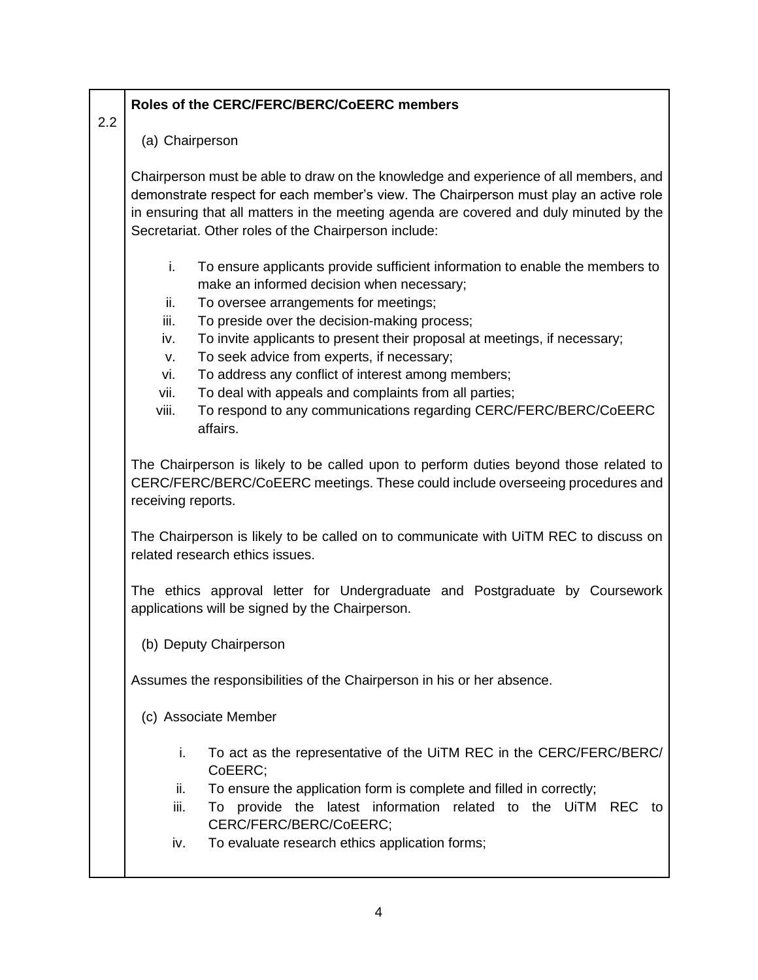## **Roles of the CERC/FERC/BERC/CoEERC members**

2.2

(a) Chairperson

Chairperson must be able to draw on the knowledge and experience of all members, and demonstrate respect for each member's view. The Chairperson must play an active role in ensuring that all matters in the meeting agenda are covered and duly minuted by the Secretariat. Other roles of the Chairperson include:

- i. To ensure applicants provide sufficient information to enable the members to make an informed decision when necessary;
- ii. To oversee arrangements for meetings;
- iii. To preside over the decision-making process;
- iv. To invite applicants to present their proposal at meetings, if necessary;
- v. To seek advice from experts, if necessary;
- vi. To address any conflict of interest among members;
- vii. To deal with appeals and complaints from all parties;
- viii. To respond to any communications regarding CERC/FERC/BERC/CoEERC affairs.

The Chairperson is likely to be called upon to perform duties beyond those related to CERC/FERC/BERC/CoEERC meetings. These could include overseeing procedures and receiving reports.

The Chairperson is likely to be called on to communicate with UiTM REC to discuss on related research ethics issues.

The ethics approval letter for Undergraduate and Postgraduate by Coursework applications will be signed by the Chairperson.

(b) Deputy Chairperson

Assumes the responsibilities of the Chairperson in his or her absence.

- (c) Associate Member
	- i. To act as the representative of the UiTM REC in the CERC/FERC/BERC/ CoEERC;
	- ii. To ensure the application form is complete and filled in correctly;
	- iii. To provide the latest information related to the UiTM REC to CERC/FERC/BERC/CoEERC;
	- iv. To evaluate research ethics application forms;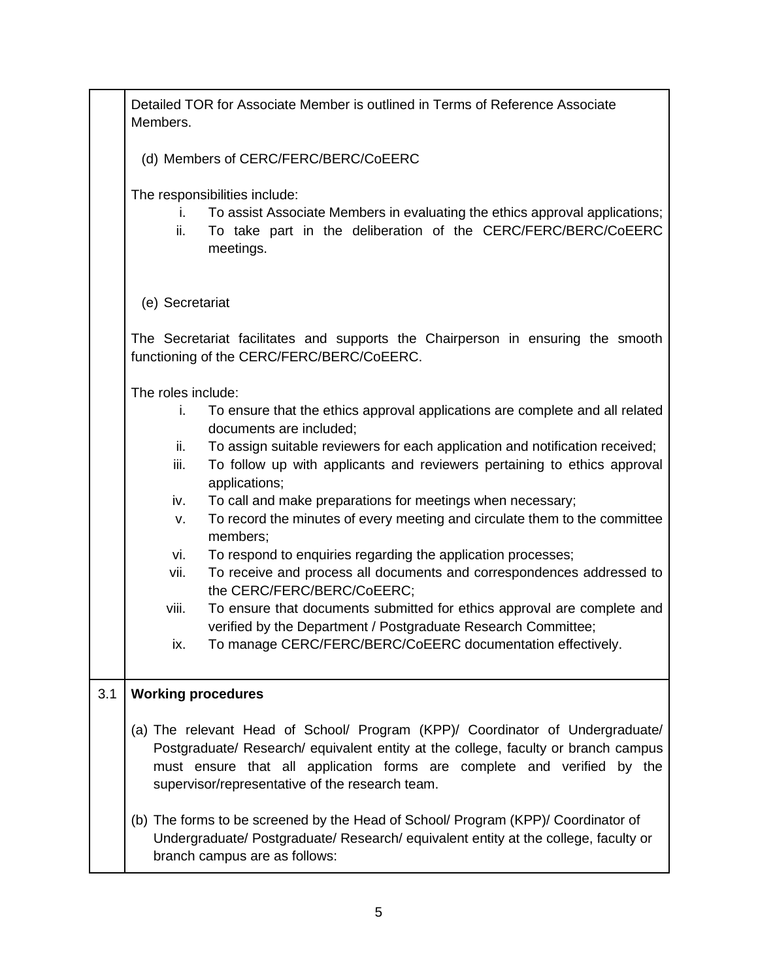|     | Detailed TOR for Associate Member is outlined in Terms of Reference Associate<br>Members.                                                                                                                                                                                                         |  |  |  |
|-----|---------------------------------------------------------------------------------------------------------------------------------------------------------------------------------------------------------------------------------------------------------------------------------------------------|--|--|--|
|     | (d) Members of CERC/FERC/BERC/CoEERC                                                                                                                                                                                                                                                              |  |  |  |
|     | The responsibilities include:<br>To assist Associate Members in evaluating the ethics approval applications;<br>İ.<br>To take part in the deliberation of the CERC/FERC/BERC/CoEERC<br>ii.<br>meetings.                                                                                           |  |  |  |
|     | (e) Secretariat                                                                                                                                                                                                                                                                                   |  |  |  |
|     | The Secretariat facilitates and supports the Chairperson in ensuring the smooth<br>functioning of the CERC/FERC/BERC/CoEERC.                                                                                                                                                                      |  |  |  |
|     | The roles include:                                                                                                                                                                                                                                                                                |  |  |  |
|     | To ensure that the ethics approval applications are complete and all related<br>i.<br>documents are included;                                                                                                                                                                                     |  |  |  |
|     | To assign suitable reviewers for each application and notification received;<br>ii.                                                                                                                                                                                                               |  |  |  |
|     | To follow up with applicants and reviewers pertaining to ethics approval<br>iii.<br>applications;                                                                                                                                                                                                 |  |  |  |
|     | To call and make preparations for meetings when necessary;<br>iv.                                                                                                                                                                                                                                 |  |  |  |
|     | To record the minutes of every meeting and circulate them to the committee<br>٧.<br>members;                                                                                                                                                                                                      |  |  |  |
|     | To respond to enquiries regarding the application processes;<br>vi.                                                                                                                                                                                                                               |  |  |  |
|     | To receive and process all documents and correspondences addressed to<br>vii.<br>the CERC/FERC/BERC/CoEERC;                                                                                                                                                                                       |  |  |  |
|     | viii.<br>To ensure that documents submitted for ethics approval are complete and                                                                                                                                                                                                                  |  |  |  |
|     | verified by the Department / Postgraduate Research Committee;<br>To manage CERC/FERC/BERC/CoEERC documentation effectively.<br>ix.                                                                                                                                                                |  |  |  |
| 3.1 | <b>Working procedures</b>                                                                                                                                                                                                                                                                         |  |  |  |
|     | (a) The relevant Head of School/ Program (KPP)/ Coordinator of Undergraduate/<br>Postgraduate/ Research/ equivalent entity at the college, faculty or branch campus<br>must ensure that all application forms are complete and verified by the<br>supervisor/representative of the research team. |  |  |  |
|     | (b) The forms to be screened by the Head of School/ Program (KPP)/ Coordinator of<br>Undergraduate/ Postgraduate/ Research/ equivalent entity at the college, faculty or<br>branch campus are as follows:                                                                                         |  |  |  |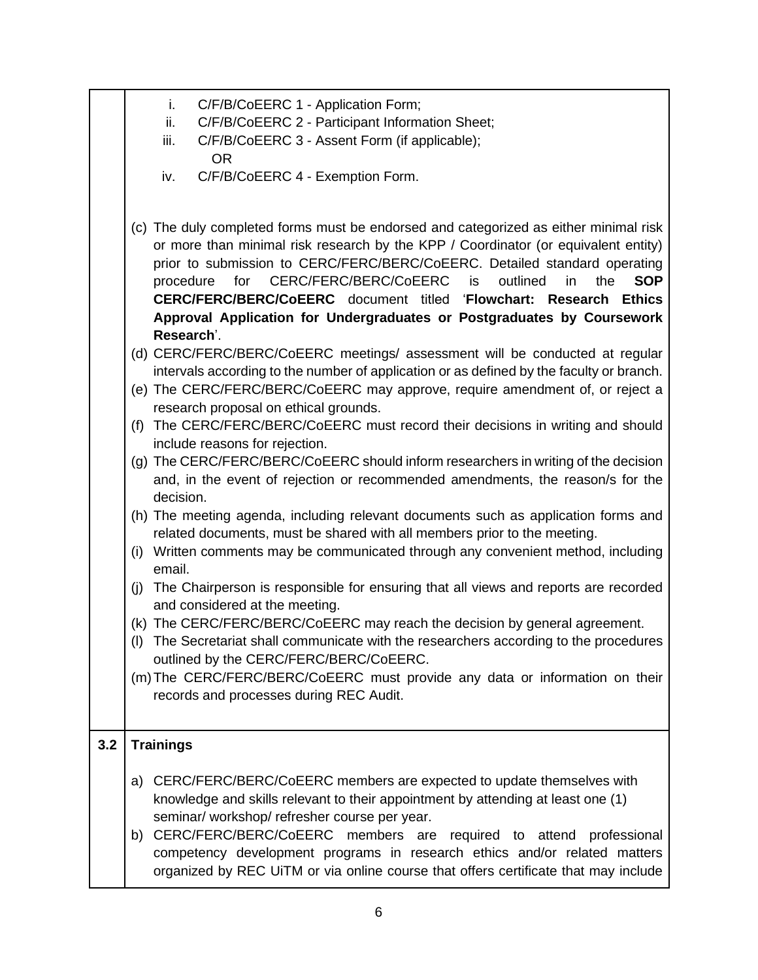| C/F/B/CoEERC 1 - Application Form; |  |  |  |  |
|------------------------------------|--|--|--|--|
|------------------------------------|--|--|--|--|

- ii. C/F/B/CoEERC 2 Participant Information Sheet;
- iii. C/F/B/CoEERC 3 Assent Form (if applicable); OR
- iv. C/F/B/CoEERC 4 Exemption Form.
- (c) The duly completed forms must be endorsed and categorized as either minimal risk or more than minimal risk research by the KPP / Coordinator (or equivalent entity) prior to submission to CERC/FERC/BERC/CoEERC. Detailed standard operating procedure for CERC/FERC/BERC/CoEERC is outlined in the **SOP CERC/FERC/BERC/CoEERC** document titled '**Flowchart: Research Ethics Approval Application for Undergraduates or Postgraduates by Coursework Research**'.
- (d) CERC/FERC/BERC/CoEERC meetings/ assessment will be conducted at regular intervals according to the number of application or as defined by the faculty or branch.
- (e) The CERC/FERC/BERC/CoEERC may approve, require amendment of, or reject a research proposal on ethical grounds.
- (f) The CERC/FERC/BERC/CoEERC must record their decisions in writing and should include reasons for rejection.
- (g) The CERC/FERC/BERC/CoEERC should inform researchers in writing of the decision and, in the event of rejection or recommended amendments, the reason/s for the decision.
- (h) The meeting agenda, including relevant documents such as application forms and related documents, must be shared with all members prior to the meeting.
- (i) Written comments may be communicated through any convenient method, including email.
- (j) The Chairperson is responsible for ensuring that all views and reports are recorded and considered at the meeting.
- (k) The CERC/FERC/BERC/CoEERC may reach the decision by general agreement.
- (l) The Secretariat shall communicate with the researchers according to the procedures outlined by the CERC/FERC/BERC/CoEERC.
- (m)The CERC/FERC/BERC/CoEERC must provide any data or information on their records and processes during REC Audit.

## **3.2 Trainings**

- a) CERC/FERC/BERC/CoEERC members are expected to update themselves with knowledge and skills relevant to their appointment by attending at least one (1) seminar/ workshop/ refresher course per year.
- b) CERC/FERC/BERC/CoEERC members are required to attend professional competency development programs in research ethics and/or related matters organized by REC UiTM or via online course that offers certificate that may include